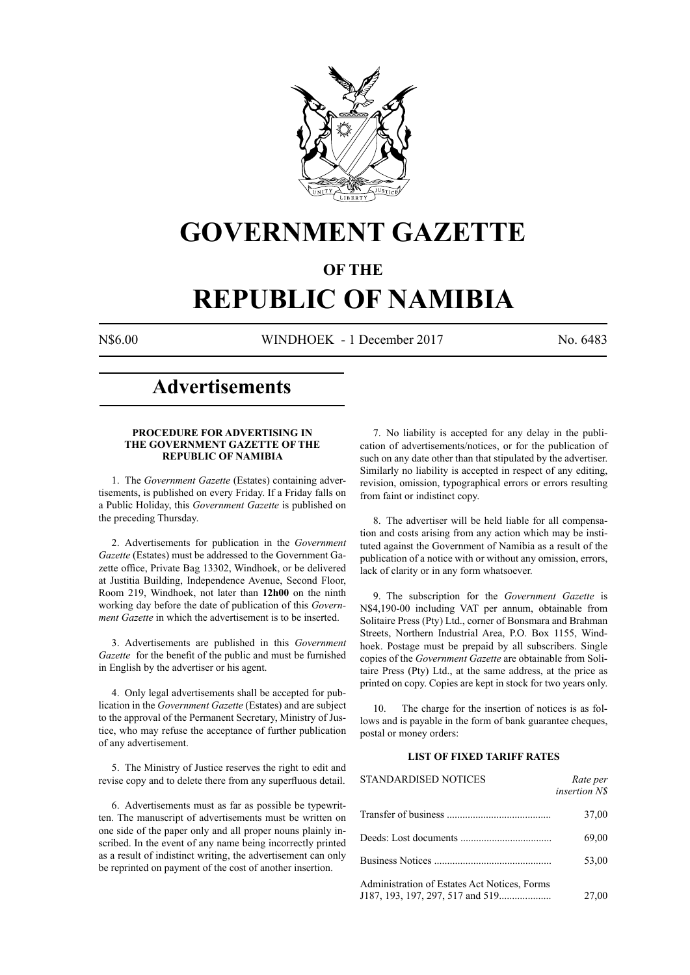

## **GOVERNMENT GAZETTE**

### **OF THE**

# **REPUBLIC OF NAMIBIA**

N\$6.00 WINDHOEK - 1 December 2017 No. 6483

### **Advertisements**

#### **PROCEDURE FOR ADVERTISING IN THE GOVERNMENT GAZETTE OF THE REPUBLIC OF NAMIBIA**

1. The *Government Gazette* (Estates) containing advertisements, is published on every Friday. If a Friday falls on a Public Holiday, this *Government Gazette* is published on the preceding Thursday.

2. Advertisements for publication in the *Government Gazette* (Estates) must be addressed to the Government Gazette office, Private Bag 13302, Windhoek, or be delivered at Justitia Building, Independence Avenue, Second Floor, Room 219, Windhoek, not later than **12h00** on the ninth working day before the date of publication of this *Government Gazette* in which the advertisement is to be inserted.

3. Advertisements are published in this *Government Gazette* for the benefit of the public and must be furnished in English by the advertiser or his agent.

4. Only legal advertisements shall be accepted for publication in the *Government Gazette* (Estates) and are subject to the approval of the Permanent Secretary, Ministry of Justice, who may refuse the acceptance of further publication of any advertisement.

5. The Ministry of Justice reserves the right to edit and revise copy and to delete there from any superfluous detail.

6. Advertisements must as far as possible be typewritten. The manuscript of advertisements must be written on one side of the paper only and all proper nouns plainly inscribed. In the event of any name being incorrectly printed as a result of indistinct writing, the advertisement can only be reprinted on payment of the cost of another insertion.

7. No liability is accepted for any delay in the publication of advertisements/notices, or for the publication of such on any date other than that stipulated by the advertiser. Similarly no liability is accepted in respect of any editing, revision, omission, typographical errors or errors resulting from faint or indistinct copy.

8. The advertiser will be held liable for all compensation and costs arising from any action which may be instituted against the Government of Namibia as a result of the publication of a notice with or without any omission, errors, lack of clarity or in any form whatsoever.

9. The subscription for the *Government Gazette* is N\$4,190-00 including VAT per annum, obtainable from Solitaire Press (Pty) Ltd., corner of Bonsmara and Brahman Streets, Northern Industrial Area, P.O. Box 1155, Windhoek. Postage must be prepaid by all subscribers. Single copies of the *Government Gazette* are obtainable from Solitaire Press (Pty) Ltd., at the same address, at the price as printed on copy. Copies are kept in stock for two years only.

10. The charge for the insertion of notices is as follows and is payable in the form of bank guarantee cheques, postal or money orders:

#### **LIST OF FIXED TARIFF RATES**

| <b>STANDARDISED NOTICES</b>                  | Rate per<br><i>insertion NS</i> |
|----------------------------------------------|---------------------------------|
|                                              | 37,00                           |
|                                              | 69,00                           |
|                                              | 53,00                           |
| Administration of Estates Act Notices, Forms | 27,00                           |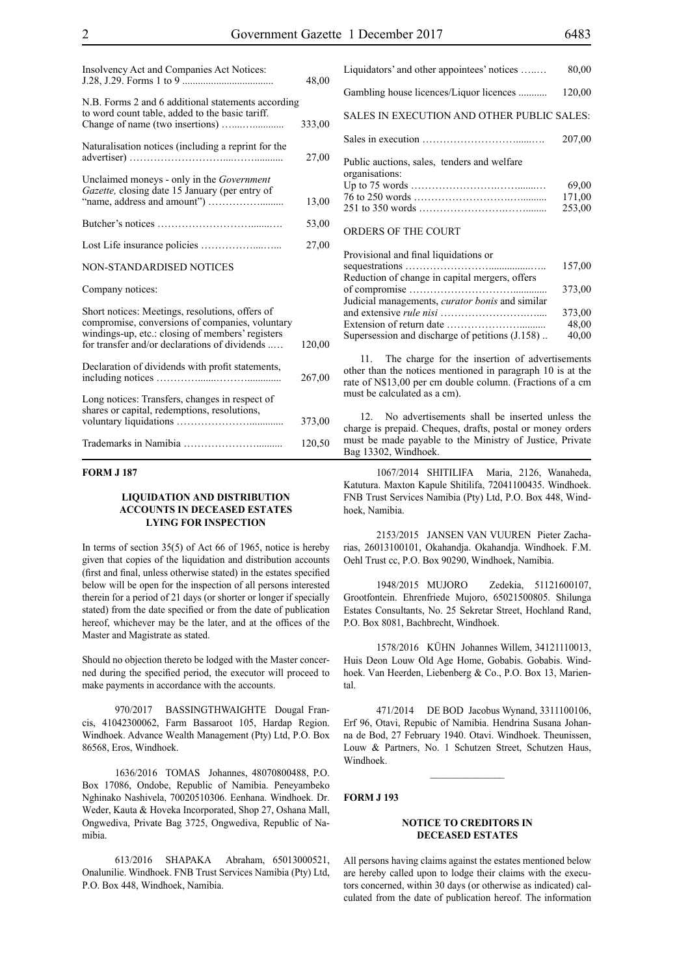| Insolvency Act and Companies Act Notices:                                                                                                                                                               | 48,00  |
|---------------------------------------------------------------------------------------------------------------------------------------------------------------------------------------------------------|--------|
| N.B. Forms 2 and 6 additional statements according<br>to word count table, added to the basic tariff.                                                                                                   | 333,00 |
| Naturalisation notices (including a reprint for the                                                                                                                                                     | 27,00  |
| Unclaimed moneys - only in the <i>Government</i><br>Gazette, closing date 15 January (per entry of                                                                                                      | 13,00  |
|                                                                                                                                                                                                         | 53,00  |
|                                                                                                                                                                                                         | 27,00  |
| <b>NON-STANDARDISED NOTICES</b>                                                                                                                                                                         |        |
| Company notices:                                                                                                                                                                                        |        |
| Short notices: Meetings, resolutions, offers of<br>compromise, conversions of companies, voluntary<br>windings-up, etc.: closing of members' registers<br>for transfer and/or declarations of dividends | 120,00 |
| Declaration of dividends with profit statements,                                                                                                                                                        | 267,00 |
| Long notices: Transfers, changes in respect of<br>shares or capital, redemptions, resolutions,                                                                                                          | 373,00 |
|                                                                                                                                                                                                         | 120,50 |

#### **FORM J 187**

#### **LIQUIDATION AND DISTRIBUTION ACCOUNTS IN DECEASED ESTATES LYING FOR INSPECTION**

In terms of section 35(5) of Act 66 of 1965, notice is hereby given that copies of the liquidation and distribution accounts (first and final, unless otherwise stated) in the estates specified below will be open for the inspection of all persons interested therein for a period of 21 days (or shorter or longer if specially stated) from the date specified or from the date of publication hereof, whichever may be the later, and at the offices of the Master and Magistrate as stated.

Should no objection thereto be lodged with the Master concerned during the specified period, the executor will proceed to make payments in accordance with the accounts.

970/2017 BASSINGTHWAIGHTE Dougal Francis, 41042300062, Farm Bassaroot 105, Hardap Region. Windhoek. Advance Wealth Management (Pty) Ltd, P.O. Box 86568, Eros, Windhoek.

1636/2016 TOMAS Johannes, 48070800488, P.O. Box 17086, Ondobe, Republic of Namibia. Peneyambeko Nghinako Nashivela, 70020510306. Eenhana. Windhoek. Dr. Weder, Kauta & Hoveka Incorporated, Shop 27, Oshana Mall, Ongwediva, Private Bag 3725, Ongwediva, Republic of Namibia.

613/2016 SHAPAKA Abraham, 65013000521, Onalunilie. Windhoek. FNB Trust Services Namibia (Pty) Ltd, P.O. Box 448, Windhoek, Namibia.

| Liquidators' and other appointees' notices                    | 80,00                     |
|---------------------------------------------------------------|---------------------------|
| Gambling house licences/Liquor licences                       | 120,00                    |
| SALES IN EXECUTION AND OTHER PUBLIC SALES:                    |                           |
|                                                               | 207,00                    |
| Public auctions, sales, tenders and welfare<br>organisations: | 69,00<br>171,00<br>253,00 |
| <b>ORDERS OF THE COURT</b>                                    |                           |

| Provisional and final liquidations or                  |        |
|--------------------------------------------------------|--------|
|                                                        | 157,00 |
| Reduction of change in capital mergers, offers         |        |
|                                                        | 373,00 |
| Judicial managements, <i>curator bonis</i> and similar |        |
|                                                        | 373,00 |
|                                                        | 48,00  |
| Supersession and discharge of petitions (J.158)        | 40,00  |

11. The charge for the insertion of advertisements other than the notices mentioned in paragraph 10 is at the rate of N\$13,00 per cm double column. (Fractions of a cm must be calculated as a cm).

12. No advertisements shall be inserted unless the charge is prepaid. Cheques, drafts, postal or money orders must be made payable to the Ministry of Justice, Private Bag 13302, Windhoek.

1067/2014 SHITILIFA Maria, 2126, Wanaheda, Katutura. Maxton Kapule Shitilifa, 72041100435. Windhoek. FNB Trust Services Namibia (Pty) Ltd, P.O. Box 448, Windhoek, Namibia.

2153/2015 JANSEN VAN VUUREN Pieter Zacharias, 26013100101, Okahandja. Okahandja. Windhoek. F.M. Oehl Trust cc, P.O. Box 90290, Windhoek, Namibia.

1948/2015 MUJORO Zedekia, 51121600107, Grootfontein. Ehrenfriede Mujoro, 65021500805. Shilunga Estates Consultants, No. 25 Sekretar Street, Hochland Rand, P.O. Box 8081, Bachbrecht, Windhoek.

1578/2016 KÜHN Johannes Willem, 34121110013, Huis Deon Louw Old Age Home, Gobabis. Gobabis. Windhoek. Van Heerden, Liebenberg & Co., P.O. Box 13, Mariental.

471/2014 DE BOD Jacobus Wynand, 3311100106, Erf 96, Otavi, Repubic of Namibia. Hendrina Susana Johanna de Bod, 27 February 1940. Otavi. Windhoek. Theunissen, Louw & Partners, No. 1 Schutzen Street, Schutzen Haus, Windhoek.

 $\frac{1}{2}$ 

#### **FORM J 193**

#### **NOTICE TO CREDITORS IN DECEASED ESTATES**

All persons having claims against the estates mentioned below are hereby called upon to lodge their claims with the executors concerned, within 30 days (or otherwise as indicated) calculated from the date of publication hereof. The information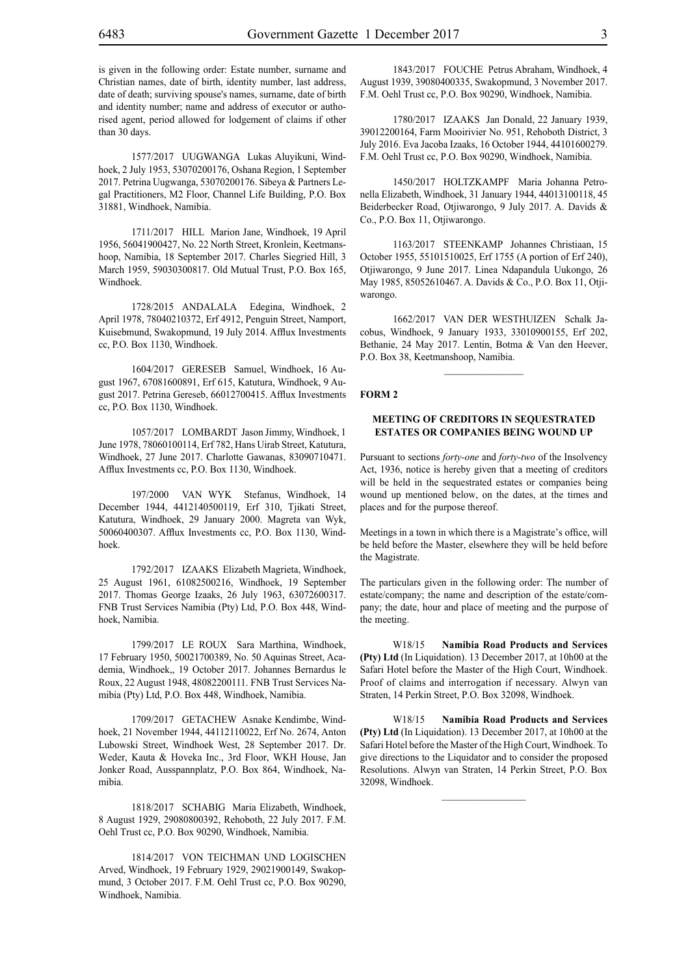1577/2017 UUGWANGA Lukas Aluyikuni, Windhoek, 2 July 1953, 53070200176, Oshana Region, 1 September 2017. Petrina Uugwanga, 53070200176. Sibeya & Partners Legal Practitioners, M2 Floor, Channel Life Building, P.O. Box 31881, Windhoek, Namibia.

1711/2017 HILL Marion Jane, Windhoek, 19 April 1956, 56041900427, No. 22 North Street, Kronlein, Keetmanshoop, Namibia, 18 September 2017. Charles Siegried Hill, 3 March 1959, 59030300817. Old Mutual Trust, P.O. Box 165, Windhoek.

1728/2015 ANDALALA Edegina, Windhoek, 2 April 1978, 78040210372, Erf 4912, Penguin Street, Namport, Kuisebmund, Swakopmund, 19 July 2014. Afflux Investments cc, P.O. Box 1130, Windhoek.

1604/2017 GERESEB Samuel, Windhoek, 16 August 1967, 67081600891, Erf 615, Katutura, Windhoek, 9 August 2017. Petrina Gereseb, 66012700415. Afflux Investments cc, P.O. Box 1130, Windhoek.

1057/2017 LOMBARDT Jason Jimmy, Windhoek, 1 June 1978, 78060100114, Erf 782, Hans Uirab Street, Katutura, Windhoek, 27 June 2017. Charlotte Gawanas, 83090710471. Afflux Investments cc, P.O. Box 1130, Windhoek.

197/2000 VAN WYK Stefanus, Windhoek, 14 December 1944, 4412140500119, Erf 310, Tjikati Street, Katutura, Windhoek, 29 January 2000. Magreta van Wyk, 50060400307. Afflux Investments cc, P.O. Box 1130, Windhoek.

1792/2017 IZAAKS Elizabeth Magrieta, Windhoek, 25 August 1961, 61082500216, Windhoek, 19 September 2017. Thomas George Izaaks, 26 July 1963, 63072600317. FNB Trust Services Namibia (Pty) Ltd, P.O. Box 448, Windhoek, Namibia.

1799/2017 LE ROUX Sara Marthina, Windhoek, 17 February 1950, 50021700389, No. 50 Aquinas Street, Academia, Windhoek,, 19 October 2017. Johannes Bernardus le Roux, 22 August 1948, 48082200111. FNB Trust Services Namibia (Pty) Ltd, P.O. Box 448, Windhoek, Namibia.

1709/2017 GETACHEW Asnake Kendimbe, Windhoek, 21 November 1944, 44112110022, Erf No. 2674, Anton Lubowski Street, Windhoek West, 28 September 2017. Dr. Weder, Kauta & Hoveka Inc., 3rd Floor, WKH House, Jan Jonker Road, Ausspannplatz, P.O. Box 864, Windhoek, Namibia.

1818/2017 SCHABIG Maria Elizabeth, Windhoek, 8 August 1929, 29080800392, Rehoboth, 22 July 2017. F.M. Oehl Trust cc, P.O. Box 90290, Windhoek, Namibia.

1814/2017 VON TEICHMAN UND LOGISCHEN Arved, Windhoek, 19 February 1929, 29021900149, Swakopmund, 3 October 2017. F.M. Oehl Trust cc, P.O. Box 90290, Windhoek, Namibia.

1843/2017 FOUCHE Petrus Abraham, Windhoek, 4 August 1939, 39080400335, Swakopmund, 3 November 2017. F.M. Oehl Trust cc, P.O. Box 90290, Windhoek, Namibia.

1780/2017 IZAAKS Jan Donald, 22 January 1939, 39012200164, Farm Mooirivier No. 951, Rehoboth District, 3 July 2016. Eva Jacoba Izaaks, 16 October 1944, 44101600279. F.M. Oehl Trust cc, P.O. Box 90290, Windhoek, Namibia.

1450/2017 HOLTZKAMPF Maria Johanna Petronella Elizabeth, Windhoek, 31 January 1944, 44013100118, 45 Beiderbecker Road, Otjiwarongo, 9 July 2017. A. Davids & Co., P.O. Box 11, Otjiwarongo.

1163/2017 STEENKAMP Johannes Christiaan, 15 October 1955, 55101510025, Erf 1755 (A portion of Erf 240), Otjiwarongo, 9 June 2017. Linea Ndapandula Uukongo, 26 May 1985, 85052610467. A. Davids & Co., P.O. Box 11, Otjiwarongo.

1662/2017 VAN DER WESTHUIZEN Schalk Jacobus, Windhoek, 9 January 1933, 33010900155, Erf 202, Bethanie, 24 May 2017. Lentin, Botma & Van den Heever, P.O. Box 38, Keetmanshoop, Namibia.

#### **FORM 2**

#### **MEETING OF CREDITORS IN SEQUESTRATED ESTATES OR COMPANIES BEING WOUND UP**

Pursuant to sections *forty-one* and *forty-two* of the Insolvency Act, 1936, notice is hereby given that a meeting of creditors will be held in the sequestrated estates or companies being wound up mentioned below, on the dates, at the times and places and for the purpose thereof.

Meetings in a town in which there is a Magistrate's office, will be held before the Master, elsewhere they will be held before the Magistrate.

The particulars given in the following order: The number of estate/company; the name and description of the estate/company; the date, hour and place of meeting and the purpose of the meeting.

W18/15 **Namibia Road Products and Services (Pty) Ltd** (In Liquidation). 13 December 2017, at 10h00 at the Safari Hotel before the Master of the High Court, Windhoek. Proof of claims and interrogation if necessary. Alwyn van Straten, 14 Perkin Street, P.O. Box 32098, Windhoek.

W18/15 **Namibia Road Products and Services (Pty) Ltd** (In Liquidation). 13 December 2017, at 10h00 at the Safari Hotel before the Master of the High Court, Windhoek. To give directions to the Liquidator and to consider the proposed Resolutions. Alwyn van Straten, 14 Perkin Street, P.O. Box 32098, Windhoek.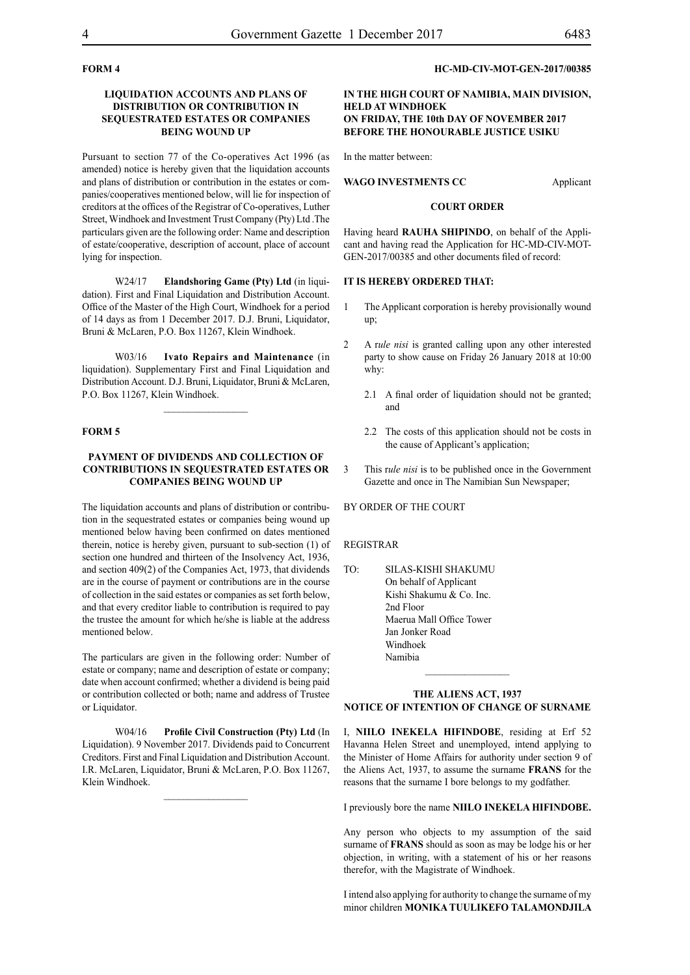#### **FORM 4**

#### **LIQUIDATION ACCOUNTS AND PLANS OF DISTRIBUTION OR CONTRIBUTION IN SEQUESTRATED ESTATES OR COMPANIES BEING WOUND UP**

Pursuant to section 77 of the Co-operatives Act 1996 (as amended) notice is hereby given that the liquidation accounts and plans of distribution or contribution in the estates or companies/cooperatives mentioned below, will lie for inspection of creditors at the offices of the Registrar of Co-operatives, Luther Street, Windhoek and Investment Trust Company (Pty) Ltd .The particulars given are the following order: Name and description of estate/cooperative, description of account, place of account lying for inspection.

W24/17 **Elandshoring Game (Pty) Ltd** (in liquidation). First and Final Liquidation and Distribution Account. Office of the Master of the High Court, Windhoek for a period of 14 days as from 1 December 2017. D.J. Bruni, Liquidator, Bruni & McLaren, P.O. Box 11267, Klein Windhoek.

W03/16 **Ivato Repairs and Maintenance** (in liquidation). Supplementary First and Final Liquidation and Distribution Account. D.J. Bruni, Liquidator, Bruni & McLaren, P.O. Box 11267, Klein Windhoek.

#### **FORM 5**

#### **PAYMENT OF DIVIDENDS AND COLLECTION OF CONTRIBUTIONS IN SEQUESTRATED ESTATES OR COMPANIES BEING WOUND UP**

The liquidation accounts and plans of distribution or contribution in the sequestrated estates or companies being wound up mentioned below having been confirmed on dates mentioned therein, notice is hereby given, pursuant to sub-section (1) of section one hundred and thirteen of the Insolvency Act, 1936, and section 409(2) of the Companies Act, 1973, that dividends are in the course of payment or contributions are in the course of collection in the said estates or companies as set forth below, and that every creditor liable to contribution is required to pay the trustee the amount for which he/she is liable at the address mentioned below.

The particulars are given in the following order: Number of estate or company; name and description of estate or company; date when account confirmed; whether a dividend is being paid or contribution collected or both; name and address of Trustee or Liquidator.

W04/16 **Profile Civil Construction (Pty) Ltd** (In Liquidation). 9 November 2017. Dividends paid to Concurrent Creditors. First and Final Liquidation and Distribution Account. I.R. McLaren, Liquidator, Bruni & McLaren, P.O. Box 11267, Klein Windhoek.

 $\frac{1}{2}$ 

#### **HC-MD-CIV-MOT-GEN-2017/00385**

#### **IN THE HIGH COURT OF NAMIBIA, MAIN DIVISION, HELD AT WINDHOEK ON FRIDAY, THE 10th DAY OF NOVEMBER 2017 BEFORE THE HONOURABLE JUSTICE USIKU**

In the matter between:

WAGO INVESTMENTS CC<br>
Applicant

#### **COURT ORDER**

Having heard **RAUHA SHIPINDO**, on behalf of the Applicant and having read the Application for HC-MD-CIV-MOT-GEN-2017/00385 and other documents filed of record:

#### **IT IS HEREBY ORDERED THAT:**

- 1 The Applicant corporation is hereby provisionally wound up;
- 2 A r*ule nisi* is granted calling upon any other interested party to show cause on Friday 26 January 2018 at 10:00 why:
	- 2.1 A final order of liquidation should not be granted; and
	- 2.2 The costs of this application should not be costs in the cause of Applicant's application;
- 3 This r*ule nisi* is to be published once in the Government Gazette and once in The Namibian Sun Newspaper;

BY ORDER OF THE COURT

#### REGISTRAR

TO: SILAS-KISHI SHAKUMU On behalf of Applicant Kishi Shakumu & Co. Inc. 2nd Floor Maerua Mall Office Tower Jan Jonker Road Windhoek Namibia

#### **THE ALIENS ACT, 1937 NOTICE OF INTENTION OF CHANGE OF SURNAME**

 $\frac{1}{2}$ 

I, **niilo inekela hifindobe**, residing at Erf 52 Havanna Helen Street and unemployed, intend applying to the Minister of Home Affairs for authority under section 9 of the Aliens Act, 1937, to assume the surname **frans** for the reasons that the surname I bore belongs to my godfather.

I previously bore the name **niilo inekela hifindobe.**

Any person who objects to my assumption of the said surname of **FRANS** should as soon as may be lodge his or her objection, in writing, with a statement of his or her reasons therefor, with the Magistrate of Windhoek.

I intend also applying for authority to change the surname of my minor children **monika tuulikefo talamondjila**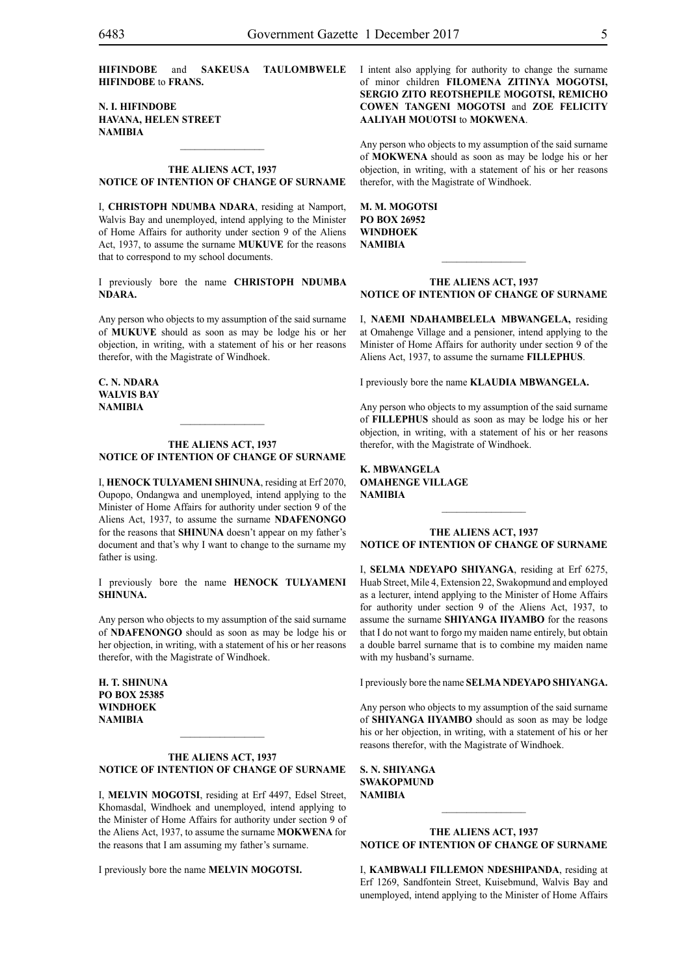**hifindobe** and **sakeusa taulombwele hifindobe** to **frans.**

**n. i. hifindobe havana, helen street NAMIBIA**

#### **THE ALIENS ACT, 1937 NOTICE OF INTENTION OF CHANGE OF SURNAME**

 $\frac{1}{2}$ 

I, **christoph ndumba ndara**, residing at Namport, Walvis Bay and unemployed, intend applying to the Minister of Home Affairs for authority under section 9 of the Aliens Act, 1937, to assume the surname **mukuve** for the reasons that to correspond to my school documents.

I previously bore the name **CHRISTOPH NDUMBA** NDARA.

Any person who objects to my assumption of the said surname of **mukuve** should as soon as may be lodge his or her objection, in writing, with a statement of his or her reasons therefor, with the Magistrate of Windhoek.

**c. n. ndara walvis bay NAMIBIA**

#### **THE ALIENS ACT, 1937 NOTICE OF INTENTION OF CHANGE OF SURNAME**

 $\frac{1}{2}$ 

I, **henock tulyameni shinuna**, residing at Erf 2070, Oupopo, Ondangwa and unemployed, intend applying to the Minister of Home Affairs for authority under section 9 of the Aliens Act, 1937, to assume the surname **NDAFENONGO** for the reasons that **SHINUNA** doesn't appear on my father's document and that's why I want to change to the surname my father is using.

I previously bore the name **henock tulyameni shinuna.**

Any person who objects to my assumption of the said surname of **NDAFENONGO** should as soon as may be lodge his or her objection, in writing, with a statement of his or her reasons therefor, with the Magistrate of Windhoek.

**h. t. shinuna po box 25385 windhoek NAMIBIA**

#### **THE ALIENS ACT, 1937 NOTICE OF INTENTION OF CHANGE OF SURNAME**

 $\frac{1}{2}$ 

I, **melvin moGOtsi**, residing at Erf 4497, Edsel Street, Khomasdal, Windhoek and unemployed, intend applying to the Minister of Home Affairs for authority under section 9 of the Aliens Act, 1937, to assume the surname **mokwena** for the reasons that I am assuming my father's surname.

I previously bore the name **melvin moGOtsi.**

I intent also applying for authority to change the surname of minor children **filomena zitinya moGOtsi, sergio zito reotshepile moGOtsi, remicho cowen tangeni moGOtsi** and **zoe felicity aaliyah mouotsi** to **mokwena**.

Any person who objects to my assumption of the said surname of **mokwena** should as soon as may be lodge his or her objection, in writing, with a statement of his or her reasons therefor, with the Magistrate of Windhoek.

**M. m. moGOtsi po box 26952 windhoek NAMIBIA**

#### **THE ALIENS ACT, 1937 NOTICE OF INTENTION OF CHANGE OF SURNAME**

 $\frac{1}{2}$ 

I, **naemi ndahambelela mbwangela,** residing at Omahenge Village and a pensioner, intend applying to the Minister of Home Affairs for authority under section 9 of the Aliens Act, 1937, to assume the surname **fillephus**.

I previously bore the name **klaudia mbwangela.**

Any person who objects to my assumption of the said surname of **fillephus** should as soon as may be lodge his or her objection, in writing, with a statement of his or her reasons therefor, with the Magistrate of Windhoek.

**k. mbwangela omahenge village NAMIBIA**

#### **THE ALIENS ACT, 1937 NOTICE OF INTENTION OF CHANGE OF SURNAME**

 $\frac{1}{2}$ 

I, **selma ndeyapo shiyanga**, residing at Erf 6275, Huab Street, Mile 4, Extension 22, Swakopmund and employed as a lecturer, intend applying to the Minister of Home Affairs for authority under section 9 of the Aliens Act, 1937, to assume the surname **SHIYANGA IIYAMBO** for the reasons that I do not want to forgo my maiden name entirely, but obtain a double barrel surname that is to combine my maiden name with my husband's surname.

I previously bore the name **selmandeyapo shiyanga.**

Any person who objects to my assumption of the said surname of **shiyanga iiyambo** should as soon as may be lodge his or her objection, in writing, with a statement of his or her reasons therefor, with the Magistrate of Windhoek.

**s. n. shiyanga swakopmund NAMIBIA**

#### **THE ALIENS ACT, 1937 NOTICE OF INTENTION OF CHANGE OF SURNAME**

 $\frac{1}{2}$ 

I, **kambwali fillemon ndeshipanda**, residing at Erf 1269, Sandfontein Street, Kuisebmund, Walvis Bay and unemployed, intend applying to the Minister of Home Affairs